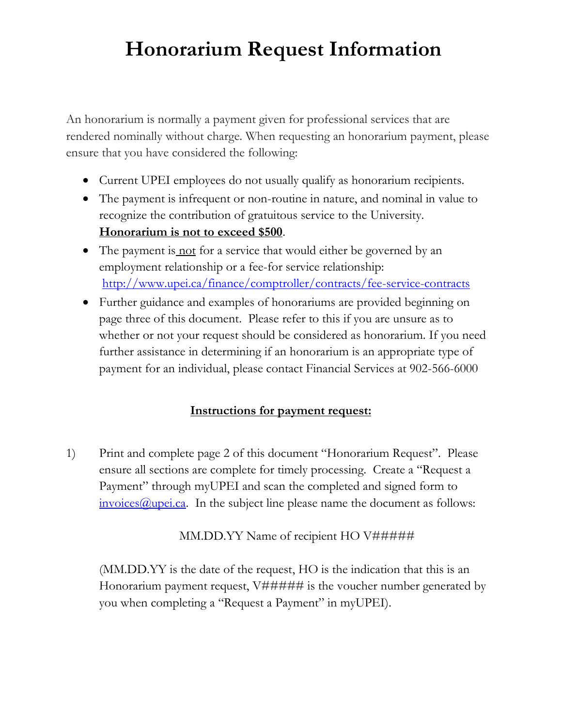# **Honorarium Request Information**

An honorarium is normally a payment given for professional services that are rendered nominally without charge. When requesting an honorarium payment, please ensure that you have considered the following:

- Current UPEI employees do not usually qualify as honorarium recipients.
- The payment is infrequent or non-routine in nature, and nominal in value to recognize the contribution of gratuitous service to the University. **Honorarium is not to exceed \$500**.
- The payment is not for a service that would either be governed by an employment relationship or a fee-for service relationship: <http://www.upei.ca/finance/comptroller/contracts/fee-service-contracts>
- Further guidance and examples of honorariums are provided beginning on page three of this document. Please refer to this if you are unsure as to whether or not your request should be considered as honorarium. If you need further assistance in determining if an honorarium is an appropriate type of payment for an individual, please contact Financial Services at 902-566-6000

### **Instructions for payment request:**

1) Print and complete page 2 of this document "Honorarium Request". Please ensure all sections are complete for timely processing. Create a "Request a Payment" through myUPEI and scan the completed and signed form to  $invoices@upei.ca.$  In the subject line please name the document as follows:

### MM.DD.YY Name of recipient HO V#####

(MM.DD.YY is the date of the request, HO is the indication that this is an Honorarium payment request,  $V\# \# \# \#$  is the voucher number generated by you when completing a "Request a Payment" in myUPEI).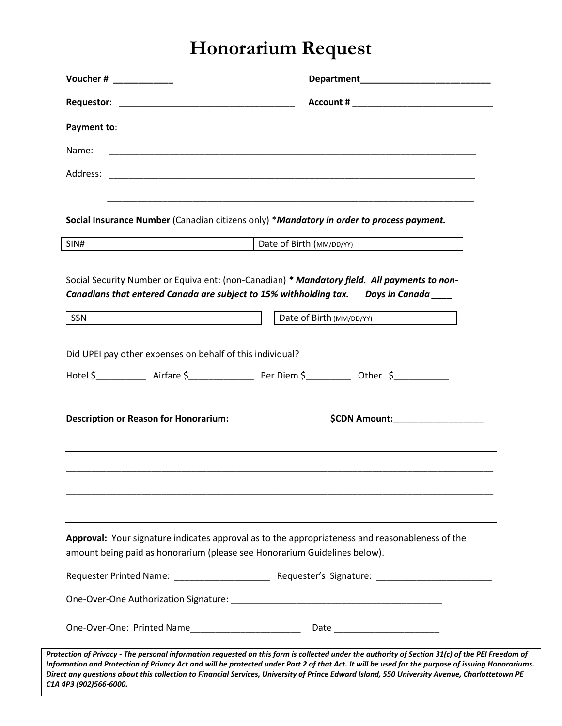## **Honorarium Request**

| Payment to:                                                         |                                                                                                                    |
|---------------------------------------------------------------------|--------------------------------------------------------------------------------------------------------------------|
| Name:                                                               | <u> 1989 - Johann Stoff, amerikansk politiker (d. 1989)</u>                                                        |
|                                                                     |                                                                                                                    |
|                                                                     |                                                                                                                    |
|                                                                     | Social Insurance Number (Canadian citizens only) *Mandatory in order to process payment.                           |
| SIN#<br><u> 1980 - Andrea Britain, amerikan personal (h. 1980).</u> | Date of Birth (MM/DD/YY)                                                                                           |
| SSN                                                                 | Canadians that entered Canada are subject to 15% withholding tax.  Days in Canada ____<br>Date of Birth (MM/DD/YY) |
|                                                                     |                                                                                                                    |
|                                                                     |                                                                                                                    |
|                                                                     | Did UPEI pay other expenses on behalf of this individual?                                                          |
|                                                                     |                                                                                                                    |
|                                                                     |                                                                                                                    |
| <b>Description or Reason for Honorarium:</b>                        | \$CDN Amount:____________________                                                                                  |
|                                                                     |                                                                                                                    |
|                                                                     |                                                                                                                    |
|                                                                     |                                                                                                                    |
|                                                                     |                                                                                                                    |
|                                                                     | Approval: Your signature indicates approval as to the appropriateness and reasonableness of the                    |
|                                                                     | amount being paid as honorarium (please see Honorarium Guidelines below).                                          |
|                                                                     |                                                                                                                    |
|                                                                     |                                                                                                                    |

*C1A 4P3 (902)566-6000.*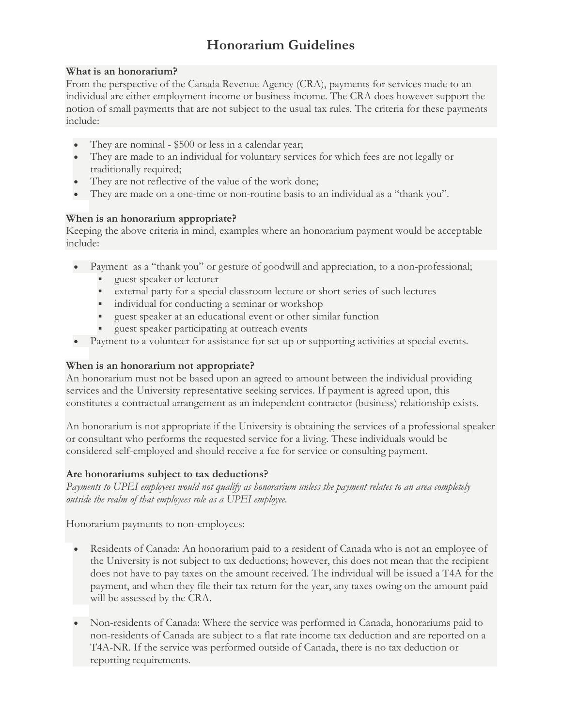## **Honorarium Guidelines**

#### **What is an honorarium?**

From the perspective of the Canada Revenue Agency (CRA), payments for services made to an individual are either employment income or business income. The CRA does however support the notion of small payments that are not subject to the usual tax rules. The criteria for these payments include:

- They are nominal \$500 or less in a calendar year;
- They are made to an individual for voluntary services for which fees are not legally or traditionally required;
- They are not reflective of the value of the work done;
- They are made on a one-time or non-routine basis to an individual as a "thank you".

#### **When is an honorarium appropriate?**

Keeping the above criteria in mind, examples where an honorarium payment would be acceptable include:

- Payment as a "thank you" or gesture of goodwill and appreciation, to a non-professional;
	- **guest speaker or lecturer**
	- external party for a special classroom lecture or short series of such lectures
	- individual for conducting a seminar or workshop
	- guest speaker at an educational event or other similar function
	- guest speaker participating at outreach events
- Payment to a volunteer for assistance for set-up or supporting activities at special events.

#### **When is an honorarium not appropriate?**

An honorarium must not be based upon an agreed to amount between the individual providing services and the University representative seeking services. If payment is agreed upon, this constitutes a contractual arrangement as an independent contractor (business) relationship exists.

An honorarium is not appropriate if the University is obtaining the services of a professional speaker or consultant who performs the requested service for a living. These individuals would be considered self-employed and should receive a fee for service or consulting payment.

#### **Are honorariums subject to tax deductions?**

*Payments to UPEI employees would not qualify as honorarium unless the payment relates to an area completely outside the realm of that employees role as a UPEI employee.*

Honorarium payments to non-employees:

- Residents of Canada: An honorarium paid to a resident of Canada who is not an employee of the University is not subject to tax deductions; however, this does not mean that the recipient does not have to pay taxes on the amount received. The individual will be issued a T4A for the payment, and when they file their tax return for the year, any taxes owing on the amount paid will be assessed by the CRA.
- Non-residents of Canada: Where the service was performed in Canada, honorariums paid to non-residents of Canada are subject to a flat rate income tax deduction and are reported on a T4A-NR. If the service was performed outside of Canada, there is no tax deduction or reporting requirements.